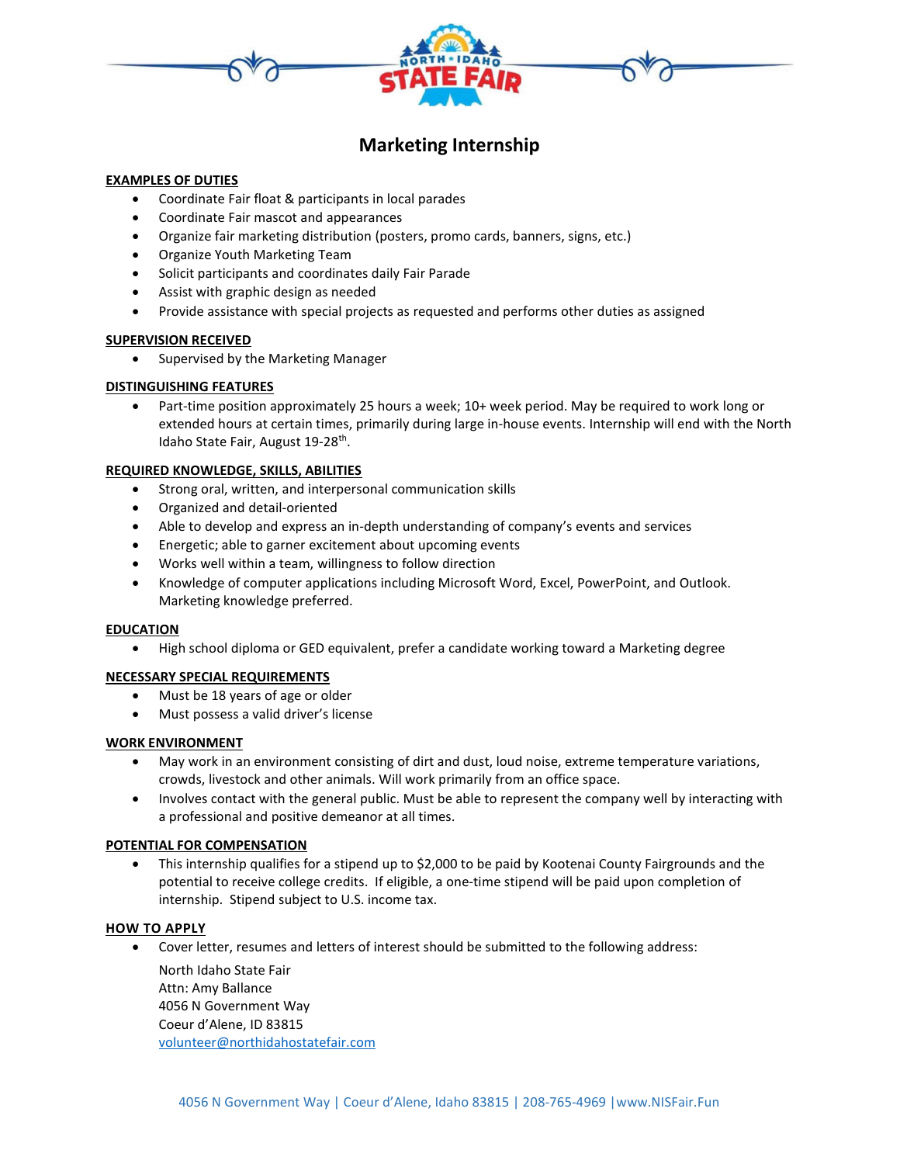

# Marketing Internship

## EXAMPLES OF DUTIES

- Coordinate Fair float & participants in local parades
- Coordinate Fair mascot and appearances
- Organize fair marketing distribution (posters, promo cards, banners, signs, etc.)
- Organize Youth Marketing Team
- Solicit participants and coordinates daily Fair Parade
- Assist with graphic design as needed
- Provide assistance with special projects as requested and performs other duties as assigned

## SUPERVISION RECEIVED

• Supervised by the Marketing Manager

# DISTINGUISHING FEATURES

• Part-time position approximately 25 hours a week; 10+ week period. May be required to work long or extended hours at certain times, primarily during large in-house events. Internship will end with the North Idaho State Fair, August 19-28<sup>th</sup>.

## REQUIRED KNOWLEDGE, SKILLS, ABILITIES

- Strong oral, written, and interpersonal communication skills
- Organized and detail-oriented
- Able to develop and express an in-depth understanding of company's events and services
- Energetic; able to garner excitement about upcoming events
- Works well within a team, willingness to follow direction
- Knowledge of computer applications including Microsoft Word, Excel, PowerPoint, and Outlook. Marketing knowledge preferred.

#### EDUCATION

High school diploma or GED equivalent, prefer a candidate working toward a Marketing degree

# NECESSARY SPECIAL REQUIREMENTS

- Must be 18 years of age or older
- Must possess a valid driver's license

#### WORK ENVIRONMENT

- May work in an environment consisting of dirt and dust, loud noise, extreme temperature variations, crowds, livestock and other animals. Will work primarily from an office space.
- Involves contact with the general public. Must be able to represent the company well by interacting with a professional and positive demeanor at all times.

#### POTENTIAL FOR COMPENSATION

 This internship qualifies for a stipend up to \$2,000 to be paid by Kootenai County Fairgrounds and the potential to receive college credits. If eligible, a one-time stipend will be paid upon completion of internship. Stipend subject to U.S. income tax.

#### HOW TO APPLY

Cover letter, resumes and letters of interest should be submitted to the following address:

North Idaho State Fair Attn: Amy Ballance 4056 N Government Way Coeur d'Alene, ID 83815 volunteer@northidahostatefair.com